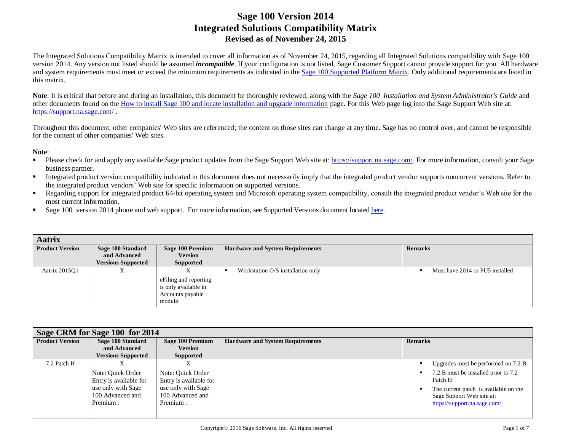The Integrated Solutions Compatibility Matrix is intended to cover all information as of November 24, 2015, regarding all Integrated Solutions compatibility with Sage 100 version 2014. Any version not listed should be assumed *incompatible*. If your configuration is not listed, Sage Customer Support cannot provide support for you. All hardware and system requirements must meet or exceed the minimum requirements as indicated in the [Sage 100 Supported Platform Matrix.](https://support.na.sage.com/selfservice/viewdocument.do?noCount=true&externalId=47649&sliceId=1&cmd=displayKC&dialogID=61183&docType=kc&isLoadPublishedVer=&stateId=61184&docTypeID=DT_Article&ViewedDocsListHelper=com.kanisa.apps.common.BaseViewedDocsListHelperImpl) Only additional requirements are listed in this matrix.

Note: It is critical that before and during an installation, this document be thoroughly reviewed, along with the *Sage 100 Installation and System Administrator's Guide* and other documents found on th[e How to install Sage 100 and locate installation and upgrade information](https://support.na.sage.com/selfservice/viewdocument.do?noCount=true&externalId=18216&sliceId=1&cmd=displayKC&dialogID=61183&docType=kc&isLoadPublishedVer=&stateId=61184&docTypeID=DT_Article&ViewedDocsListHelper=com.kanisa.apps.common.BaseViewedDocsListHelperImpl) page. For this Web page log into the Sage Support Web site at: <https://support.na.sage.com/> .

Throughout this document, other companies' Web sites are referenced; the content on those sites can change at any time. Sage has no control over, and cannot be responsible for the content of other companies' Web sites.

#### **Note**:

- Please check for and apply any available Sage product updates from the Sage Support Web site at[: https://support.na.sage.com/.](https://support.na.sage.com/) For more information, consult your Sage business partner.
- Integrated product version compatibility indicated in this document does not necessarily imply that the integrated product vendor supports noncurrent versions. Refer to the integrated product vendors' Web site for specific information on supported versions.
- Regarding support for integrated product 64-bit operating system and Microsoft operating system compatibility, consult the integrated product vendor's Web site for the most current information.
- Sage 100 version 2014 phone and web support. For more information, see Supported Versions document located [here.](https://support.na.sage.com/selfservice/viewdocument.do?noCount=true&externalId=31477&sliceId=1&dialogID=113151&cmd=displayKC&docType=kc&noCount=true&stateId=113158&isLoadPublishedVer=&docTypeID=DT_Article&ViewedDocsListHelper=com.kanisa.apps.common.BaseViewedDocsListHelperImpl)

| <b>Aatrix</b>          |                                           |                                                                                   |                                         |                                 |
|------------------------|-------------------------------------------|-----------------------------------------------------------------------------------|-----------------------------------------|---------------------------------|
| <b>Product Version</b> | Sage 100 Standard                         | Sage 100 Premium                                                                  | <b>Hardware and System Requirements</b> | <b>Remarks</b>                  |
|                        | and Advanced<br><b>Versions Supported</b> | <b>Version</b><br>Supported                                                       |                                         |                                 |
| Aatrix 2015Q1          | Λ                                         | A<br>eFiling and reporting<br>is only available in<br>Accounts payable<br>module. | Workstation O/S installation only       | Must have 2014 or PU5 installed |

| Sage CRM for Sage 100 for 2014 |                                                    |                                                    |                                         |                                                                                                    |  |
|--------------------------------|----------------------------------------------------|----------------------------------------------------|-----------------------------------------|----------------------------------------------------------------------------------------------------|--|
| <b>Product Version</b>         | Sage 100 Standard                                  | Sage 100 Premium                                   | <b>Hardware and System Requirements</b> | <b>Remarks</b>                                                                                     |  |
|                                | and Advanced                                       | <b>Version</b>                                     |                                         |                                                                                                    |  |
|                                | <b>Versions Supported</b>                          | Supported                                          |                                         |                                                                                                    |  |
| 7.2 Patch H                    |                                                    |                                                    |                                         | Upgrades must be performed on 7.2.B.                                                               |  |
|                                | Note: Quick Order<br>Entry is available for        | Note: Quick Order<br>Entry is available for        |                                         | 7.2.B must be installed prior to 7.2<br>Patch H                                                    |  |
|                                | use only with Sage<br>100 Advanced and<br>Premium. | use only with Sage<br>100 Advanced and<br>Premium. |                                         | The current patch is available on the<br>Sage Support Web site at:<br>https://support.na.sage.com/ |  |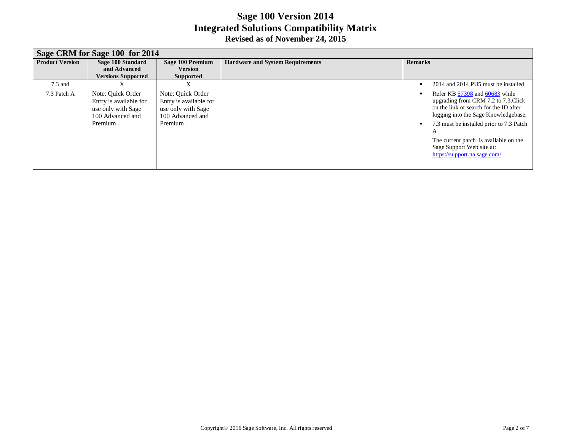|                        | Sage CRM for Sage 100 for 2014                                                                    |                                                                                                   |                                         |                                                                                                                                                                                                                                                                                                                 |  |  |  |
|------------------------|---------------------------------------------------------------------------------------------------|---------------------------------------------------------------------------------------------------|-----------------------------------------|-----------------------------------------------------------------------------------------------------------------------------------------------------------------------------------------------------------------------------------------------------------------------------------------------------------------|--|--|--|
| <b>Product Version</b> | Sage 100 Standard<br>and Advanced                                                                 | Sage 100 Premium<br><b>Version</b>                                                                | <b>Hardware and System Requirements</b> | <b>Remarks</b>                                                                                                                                                                                                                                                                                                  |  |  |  |
|                        | <b>Versions Supported</b>                                                                         | <b>Supported</b>                                                                                  |                                         |                                                                                                                                                                                                                                                                                                                 |  |  |  |
| $7.3$ and              | л                                                                                                 |                                                                                                   |                                         | 2014 and 2014 PU5 must be installed.                                                                                                                                                                                                                                                                            |  |  |  |
| 7.3 Patch A            | Note: Ouick Order<br>Entry is available for<br>use only with Sage<br>100 Advanced and<br>Premium. | Note: Ouick Order<br>Entry is available for<br>use only with Sage<br>100 Advanced and<br>Premium. |                                         | Refer KB 57398 and 60683 while<br>upgrading from CRM 7.2 to 7.3. Click<br>on the link or search for the ID after<br>logging into the Sage Knowledgebase.<br>7.3 must be installed prior to 7.3 Patch<br>A<br>The current patch is available on the<br>Sage Support Web site at:<br>https://support.na.sage.com/ |  |  |  |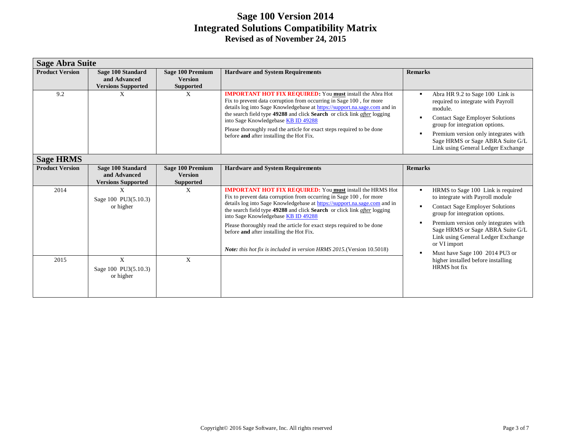| <b>Sage Abra Suite</b> |                                                                |                                                               |                                                                                                                                                                                                                                                                                                                                                                                                                                                                                                                                         |                                                                                                                                                                                                                                                                                                                                              |  |
|------------------------|----------------------------------------------------------------|---------------------------------------------------------------|-----------------------------------------------------------------------------------------------------------------------------------------------------------------------------------------------------------------------------------------------------------------------------------------------------------------------------------------------------------------------------------------------------------------------------------------------------------------------------------------------------------------------------------------|----------------------------------------------------------------------------------------------------------------------------------------------------------------------------------------------------------------------------------------------------------------------------------------------------------------------------------------------|--|
| <b>Product Version</b> | Sage 100 Standard<br>and Advanced<br><b>Versions Supported</b> | <b>Sage 100 Premium</b><br><b>Version</b><br><b>Supported</b> | <b>Hardware and System Requirements</b>                                                                                                                                                                                                                                                                                                                                                                                                                                                                                                 | <b>Remarks</b>                                                                                                                                                                                                                                                                                                                               |  |
| 9.2                    | X                                                              | X                                                             | <b>IMPORTANT HOT FIX REQUIRED:</b> You <b>must</b> install the Abra Hot<br>Fix to prevent data corruption from occurring in Sage 100, for more<br>details log into Sage Knowledgebase at https://support.na.sage.com and in<br>the search field type 49288 and click Search or click link after logging<br>into Sage Knowledgebase KB ID 49288<br>Please thoroughly read the article for exact steps required to be done<br>before and after installing the Hot Fix.                                                                    | Abra HR 9.2 to Sage 100 Link is<br>$\blacksquare$<br>required to integrate with Payroll<br>module.<br><b>Contact Sage Employer Solutions</b><br>group for integration options.<br>Premium version only integrates with<br>Sage HRMS or Sage ABRA Suite G/L<br>Link using General Ledger Exchange                                             |  |
| <b>Sage HRMS</b>       |                                                                |                                                               |                                                                                                                                                                                                                                                                                                                                                                                                                                                                                                                                         |                                                                                                                                                                                                                                                                                                                                              |  |
| <b>Product Version</b> | Sage 100 Standard<br>and Advanced<br><b>Versions Supported</b> | <b>Sage 100 Premium</b><br><b>Version</b><br><b>Supported</b> | <b>Hardware and System Requirements</b>                                                                                                                                                                                                                                                                                                                                                                                                                                                                                                 | <b>Remarks</b>                                                                                                                                                                                                                                                                                                                               |  |
| 2014                   | X<br>Sage 100 PU3(5.10.3)<br>or higher                         | X                                                             | <b>IMPORTANT HOT FIX REQUIRED:</b> You must install the HRMS Hot<br>Fix to prevent data corruption from occurring in Sage 100, for more<br>details log into Sage Knowledgebase at https://support.na.sage.com and in<br>the search field type 49288 and click Search or click link after logging<br>into Sage Knowledgebase KB ID 49288<br>Please thoroughly read the article for exact steps required to be done<br>before and after installing the Hot Fix.<br>Note: this hot fix is included in version HRMS 2015. (Version 10.5018) | HRMS to Sage 100 Link is required<br>٠<br>to integrate with Payroll module<br><b>Contact Sage Employer Solutions</b><br>group for integration options.<br>Premium version only integrates with<br>$\blacksquare$<br>Sage HRMS or Sage ABRA Suite G/L<br>Link using General Ledger Exchange<br>or VI import<br>Must have Sage 100 2014 PU3 or |  |
| 2015                   | X<br>Sage 100 PU3(5.10.3)<br>or higher                         | X                                                             |                                                                                                                                                                                                                                                                                                                                                                                                                                                                                                                                         | higher installed before installing<br>HRMS hot fix                                                                                                                                                                                                                                                                                           |  |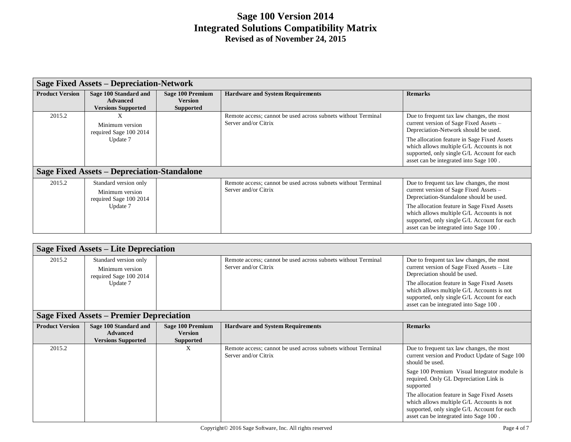|                        | <b>Sage Fixed Assets - Depreciation-Network</b>                                |                                                        |                                                                                       |                                                                                                                                                                                                                                                                                                                     |  |
|------------------------|--------------------------------------------------------------------------------|--------------------------------------------------------|---------------------------------------------------------------------------------------|---------------------------------------------------------------------------------------------------------------------------------------------------------------------------------------------------------------------------------------------------------------------------------------------------------------------|--|
| <b>Product Version</b> | Sage 100 Standard and<br><b>Advanced</b><br><b>Versions Supported</b>          | Sage 100 Premium<br><b>Version</b><br><b>Supported</b> | <b>Hardware and System Requirements</b>                                               | <b>Remarks</b>                                                                                                                                                                                                                                                                                                      |  |
| 2015.2                 | X<br>Minimum version<br>required Sage 100 2014                                 |                                                        | Remote access; cannot be used across subnets without Terminal<br>Server and/or Citrix | Due to frequent tax law changes, the most<br>current version of Sage Fixed Assets -<br>Depreciation-Network should be used.                                                                                                                                                                                         |  |
|                        | Update 7                                                                       |                                                        |                                                                                       | The allocation feature in Sage Fixed Assets<br>which allows multiple G/L Accounts is not<br>supported, only single G/L Account for each<br>asset can be integrated into Sage 100.                                                                                                                                   |  |
|                        | <b>Sage Fixed Assets – Depreciation-Standalone</b>                             |                                                        |                                                                                       |                                                                                                                                                                                                                                                                                                                     |  |
| 2015.2                 | Standard version only<br>Minimum version<br>required Sage 100 2014<br>Update 7 |                                                        | Remote access; cannot be used across subnets without Terminal<br>Server and/or Citrix | Due to frequent tax law changes, the most<br>current version of Sage Fixed Assets –<br>Depreciation-Standalone should be used.<br>The allocation feature in Sage Fixed Assets<br>which allows multiple G/L Accounts is not<br>supported, only single G/L Account for each<br>asset can be integrated into Sage 100. |  |

| <b>Sage Fixed Assets – Lite Depreciation</b> |                                                                                |                                                               |                                                                                       |                                                                                                                                                                                                                                                                                                               |  |
|----------------------------------------------|--------------------------------------------------------------------------------|---------------------------------------------------------------|---------------------------------------------------------------------------------------|---------------------------------------------------------------------------------------------------------------------------------------------------------------------------------------------------------------------------------------------------------------------------------------------------------------|--|
| 2015.2                                       | Standard version only<br>Minimum version<br>required Sage 100 2014<br>Update 7 |                                                               | Remote access; cannot be used across subnets without Terminal<br>Server and/or Citrix | Due to frequent tax law changes, the most<br>current version of Sage Fixed Assets – Lite<br>Depreciation should be used.<br>The allocation feature in Sage Fixed Assets<br>which allows multiple G/L Accounts is not<br>supported, only single G/L Account for each<br>asset can be integrated into Sage 100. |  |
|                                              | <b>Sage Fixed Assets – Premier Depreciation</b>                                |                                                               |                                                                                       |                                                                                                                                                                                                                                                                                                               |  |
| <b>Product Version</b>                       | Sage 100 Standard and<br><b>Advanced</b><br><b>Versions Supported</b>          | <b>Sage 100 Premium</b><br><b>Version</b><br><b>Supported</b> | <b>Hardware and System Requirements</b>                                               | <b>Remarks</b>                                                                                                                                                                                                                                                                                                |  |
| 2015.2                                       |                                                                                | X                                                             | Remote access; cannot be used across subnets without Terminal<br>Server and/or Citrix | Due to frequent tax law changes, the most<br>current version and Product Update of Sage 100<br>should be used.                                                                                                                                                                                                |  |
|                                              |                                                                                |                                                               |                                                                                       | Sage 100 Premium Visual Integrator module is<br>required. Only GL Depreciation Link is<br>supported                                                                                                                                                                                                           |  |
|                                              |                                                                                |                                                               |                                                                                       | The allocation feature in Sage Fixed Assets<br>which allows multiple G/L Accounts is not<br>supported, only single G/L Account for each<br>asset can be integrated into Sage 100.                                                                                                                             |  |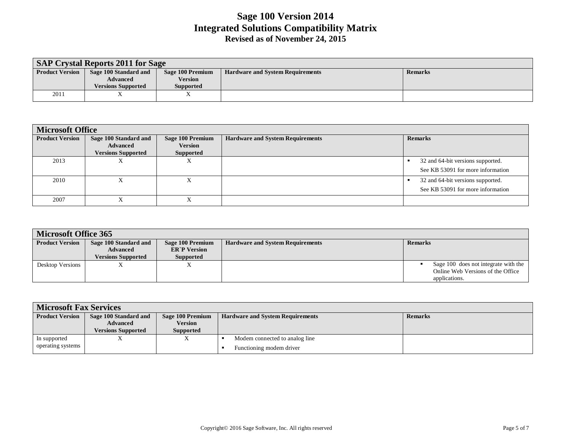| <b>SAP Crystal Reports 2011 for Sage</b> |                           |                  |                                         |                |  |  |
|------------------------------------------|---------------------------|------------------|-----------------------------------------|----------------|--|--|
| <b>Product Version</b>                   | Sage 100 Standard and     | Sage 100 Premium | <b>Hardware and System Requirements</b> | <b>Remarks</b> |  |  |
|                                          | <b>Advanced</b>           | <b>Version</b>   |                                         |                |  |  |
|                                          | <b>Versions Supported</b> | <b>Supported</b> |                                         |                |  |  |
| 2011                                     |                           | 77               |                                         |                |  |  |

| <b>Microsoft Office</b> |                                                                       |                                                 |                                         |                                                                        |  |
|-------------------------|-----------------------------------------------------------------------|-------------------------------------------------|-----------------------------------------|------------------------------------------------------------------------|--|
| <b>Product Version</b>  | Sage 100 Standard and<br><b>Advanced</b><br><b>Versions Supported</b> | Sage 100 Premium<br><b>Version</b><br>Supported | <b>Hardware and System Requirements</b> | <b>Remarks</b>                                                         |  |
| 2013                    |                                                                       | л                                               |                                         | 32 and 64-bit versions supported.<br>See KB 53091 for more information |  |
| 2010                    |                                                                       | $\mathbf{v}$<br>л                               |                                         | 32 and 64-bit versions supported.<br>See KB 53091 for more information |  |
| 2007                    |                                                                       | $\Lambda$                                       |                                         |                                                                        |  |

| Microsoft Office 365   |                           |                     |                                         |                                      |  |
|------------------------|---------------------------|---------------------|-----------------------------------------|--------------------------------------|--|
| <b>Product Version</b> | Sage 100 Standard and     | Sage 100 Premium    | <b>Hardware and System Requirements</b> | <b>Remarks</b>                       |  |
|                        | <b>Advanced</b>           | <b>ER'P Version</b> |                                         |                                      |  |
|                        | <b>Versions Supported</b> | <b>Supported</b>    |                                         |                                      |  |
| Desktop Versions       |                           | л                   |                                         | Sage 100 does not integrate with the |  |
|                        |                           |                     |                                         | Online Web Versions of the Office    |  |
|                        |                           |                     |                                         | applications.                        |  |

| <b>Microsoft Fax Services</b>     |                                                                       |                                          |                                                            |                |  |
|-----------------------------------|-----------------------------------------------------------------------|------------------------------------------|------------------------------------------------------------|----------------|--|
| <b>Product Version</b>            | Sage 100 Standard and<br><b>Advanced</b><br><b>Versions Supported</b> | Sage 100 Premium<br>Version<br>Supported | <b>Hardware and System Requirements</b>                    | <b>Remarks</b> |  |
| In supported<br>operating systems |                                                                       |                                          | Modem connected to analog line<br>Functioning modem driver |                |  |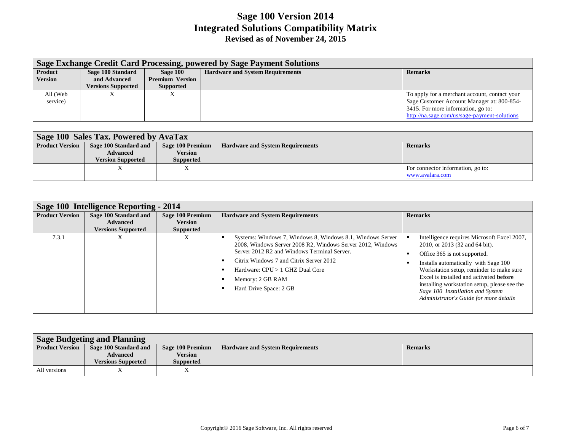|                | Sage Exchange Credit Card Processing, powered by Sage Payment Solutions |                        |                                         |                                               |  |  |
|----------------|-------------------------------------------------------------------------|------------------------|-----------------------------------------|-----------------------------------------------|--|--|
| Product        | Sage 100 Standard                                                       | Sage 100               | <b>Hardware and System Requirements</b> | <b>Remarks</b>                                |  |  |
| <b>Version</b> | and Advanced                                                            | <b>Premium Version</b> |                                         |                                               |  |  |
|                | <b>Versions Supported</b>                                               | <b>Supported</b>       |                                         |                                               |  |  |
| All (Web       | л                                                                       |                        |                                         | To apply for a merchant account, contact your |  |  |
| service)       |                                                                         |                        |                                         | Sage Customer Account Manager at: 800-854-    |  |  |
|                |                                                                         |                        |                                         | 3415. For more information, go to:            |  |  |
|                |                                                                         |                        |                                         | http://na.sage.com/us/sage-payment-solutions  |  |  |

| Sage 100 Sales Tax. Powered by AvaTax |                          |                  |                                         |                                   |  |
|---------------------------------------|--------------------------|------------------|-----------------------------------------|-----------------------------------|--|
| <b>Product Version</b>                | Sage 100 Standard and    | Sage 100 Premium | <b>Hardware and System Requirements</b> | <b>Remarks</b>                    |  |
|                                       | <b>Advanced</b>          | <b>Version</b>   |                                         |                                   |  |
|                                       | <b>Version Supported</b> | <b>Supported</b> |                                         |                                   |  |
|                                       |                          |                  |                                         | For connector information, go to: |  |
|                                       |                          |                  |                                         | www.avalara.com                   |  |

| Sage 100 Intelligence Reporting - 2014 |                                                                       |                                                               |                                                                                                                                                                                                                                                                                                     |                                                                                                                                                                                                                                                                                                                                                                                   |  |
|----------------------------------------|-----------------------------------------------------------------------|---------------------------------------------------------------|-----------------------------------------------------------------------------------------------------------------------------------------------------------------------------------------------------------------------------------------------------------------------------------------------------|-----------------------------------------------------------------------------------------------------------------------------------------------------------------------------------------------------------------------------------------------------------------------------------------------------------------------------------------------------------------------------------|--|
| <b>Product Version</b>                 | Sage 100 Standard and<br><b>Advanced</b><br><b>Versions Supported</b> | <b>Sage 100 Premium</b><br><b>Version</b><br><b>Supported</b> | <b>Hardware and System Requirements</b>                                                                                                                                                                                                                                                             | <b>Remarks</b>                                                                                                                                                                                                                                                                                                                                                                    |  |
| 7.3.1                                  | л                                                                     |                                                               | Systems: Windows 7, Windows 8, Windows 8.1, Windows Server<br>2008, Windows Server 2008 R2, Windows Server 2012, Windows<br>Server 2012 R2 and Windows Terminal Server.<br>Citrix Windows 7 and Citrix Server 2012<br>Hardware: CPU > 1 GHZ Dual Core<br>Memory: 2 GB RAM<br>Hard Drive Space: 2 GB | Intelligence requires Microsoft Excel 2007,<br>2010, or 2013 (32 and 64 bit).<br>Office 365 is not supported.<br>Installs automatically with Sage 100<br>Workstation setup, reminder to make sure<br>Excel is installed and activated <b>before</b><br>installing workstation setup, please see the<br>Sage 100 Installation and System<br>Administrator's Guide for more details |  |

| <b>Sage Budgeting and Planning</b> |                           |                  |                                         |         |  |
|------------------------------------|---------------------------|------------------|-----------------------------------------|---------|--|
| <b>Product Version</b>             | Sage 100 Standard and     | Sage 100 Premium | <b>Hardware and System Requirements</b> | Remarks |  |
|                                    | Advanced                  | Version          |                                         |         |  |
|                                    | <b>Versions Supported</b> | <b>Supported</b> |                                         |         |  |
| All versions                       |                           |                  |                                         |         |  |